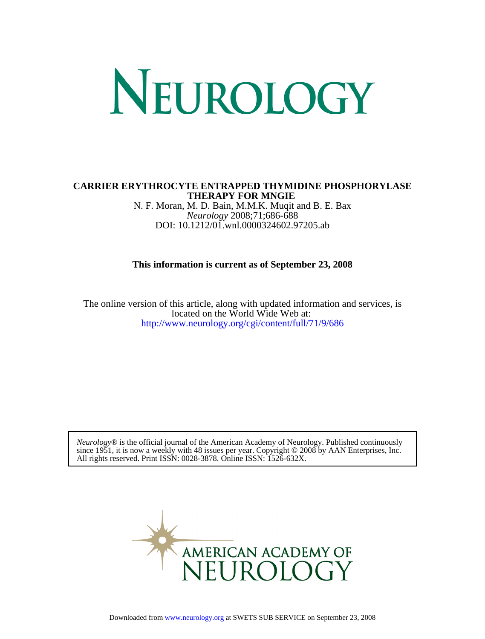# NEUROLOGY

# **THERAPY FOR MNGIE CARRIER ERYTHROCYTE ENTRAPPED THYMIDINE PHOSPHORYLASE**

DOI: 10.1212/01.wnl.0000324602.97205.ab *Neurology* 2008;71;686-688 N. F. Moran, M. D. Bain, M.M.K. Muqit and B. E. Bax

**This information is current as of September 23, 2008** 

<http://www.neurology.org/cgi/content/full/71/9/686> located on the World Wide Web at: The online version of this article, along with updated information and services, is

All rights reserved. Print ISSN: 0028-3878. Online ISSN: 1526-632X. since 1951, it is now a weekly with 48 issues per year. Copyright © 2008 by AAN Enterprises, Inc. *Neurology*® is the official journal of the American Academy of Neurology. Published continuously

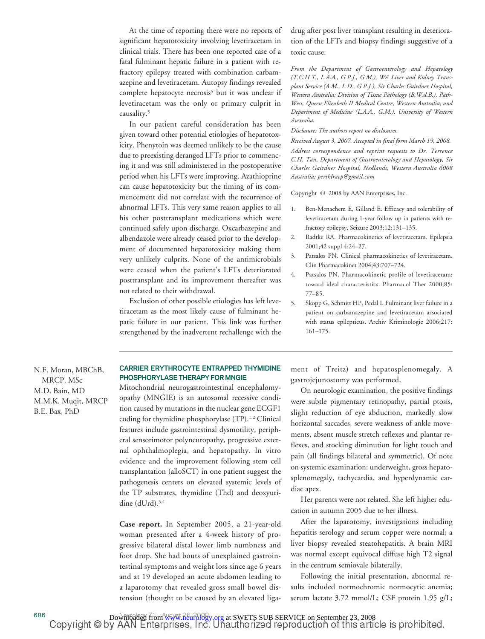At the time of reporting there were no reports of significant hepatotoxicity involving levetiracetam in clinical trials. There has been one reported case of a fatal fulminant hepatic failure in a patient with refractory epilepsy treated with combination carbamazepine and levetiracetam. Autopsy findings revealed complete hepatocyte necrosis<sup>5</sup> but it was unclear if levetiracetam was the only or primary culprit in causality.5

In our patient careful consideration has been given toward other potential etiologies of hepatotoxicity. Phenytoin was deemed unlikely to be the cause due to preexisting deranged LFTs prior to commencing it and was still administered in the postoperative period when his LFTs were improving. Azathioprine can cause hepatotoxicity but the timing of its commencement did not correlate with the recurrence of abnormal LFTs. This very same reason applies to all his other posttransplant medications which were continued safely upon discharge. Oxcarbazepine and albendazole were already ceased prior to the development of documented hepatotoxicity making them very unlikely culprits. None of the antimicrobials were ceased when the patient's LFTs deteriorated posttransplant and its improvement thereafter was not related to their withdrawal.

Exclusion of other possible etiologies has left levetiracetam as the most likely cause of fulminant hepatic failure in our patient. This link was further strengthened by the inadvertent rechallenge with the drug after post liver transplant resulting in deterioration of the LFTs and biopsy findings suggestive of a toxic cause.

*From the Department of Gastroenterology and Hepatology (T.C.H.T., L.A.A., G.P.J., G.M.), WA Liver and Kidney Transplant Service (A.M., L.D., G.P.J.), Sir Charles Gairdner Hospital, Western Australia; Division of Tissue Pathology (B.W.d.B.), Path-West, Queen Elizabeth II Medical Centre, Western Australia; and Department of Medicine (L.A.A., G.M.), University of Western Australia.*

*Disclosure: The authors report no disclosures.*

*Received August 3, 2007. Accepted in final form March 19, 2008. Address correspondence and reprint requests to Dr. Terrence C.H. Tan, Department of Gastroenterology and Hepatology, Sir Charles Gairdner Hospital, Nedlands, Western Australia 6008 Australia; perthfracp@gmail.com*

Copyright © 2008 by AAN Enterprises, Inc.

- 1. Ben-Menachem E, Gilland E. Efficacy and tolerability of levetiracetam during 1-year follow up in patients with refractory epilepsy. Seizure 2003;12:131–135.
- 2. Radtke RA. Pharmacokinetics of levetiracetam. Epilepsia 2001;42 suppl 4:24–27.
- 3. Patsalos PN. Clinical pharmacokinetics of levetiracetam. Clin Pharmacokinet 2004;43:707–724.
- 4. Patsalos PN. Pharmacokinetic profile of levetiracetam: toward ideal characteristics. Pharmacol Ther 2000;85: 77–85.
- 5. Skopp G, Schmitt HP, Pedal I. Fulminant liver failure in a patient on carbamazepine and levetiracetam associated with status epilepticus. Archiv Kriminologie 2006;217: 161–175.

N.F. Moran, MBChB, MRCP, MSc M.D. Bain, MD M.M.K. Muqit, MRCP B.E. Bax, PhD

## **CARRIER ERYTHROCYTE ENTRAPPED THYMIDINE PHOSPHORYLASE THERAPY FORMNGIE**

Mitochondrial neurogastrointestinal encephalomyopathy (MNGIE) is an autosomal recessive condition caused by mutations in the nuclear gene ECGF1 coding for thymidine phosphorylase (TP).<sup>1,2</sup> Clinical features include gastrointestinal dysmotility, peripheral sensorimotor polyneuropathy, progressive external ophthalmoplegia, and hepatopathy. In vitro evidence and the improvement following stem cell transplantation (alloSCT) in one patient suggest the pathogenesis centers on elevated systemic levels of the TP substrates, thymidine (Thd) and deoxyuridine (dUrd).<sup>3,4</sup>

**Case report.** In September 2005, a 21-year-old woman presented after a 4-week history of progressive bilateral distal lower limb numbness and foot drop. She had bouts of unexplained gastrointestinal symptoms and weight loss since age 6 years and at 19 developed an acute abdomen leading to a laparotomy that revealed gross small bowel distension (thought to be caused by an elevated ligament of Treitz) and hepatosplenomegaly. A gastrojejunostomy was performed.

On neurologic examination, the positive findings were subtle pigmentary retinopathy, partial ptosis, slight reduction of eye abduction, markedly slow horizontal saccades, severe weakness of ankle movements, absent muscle stretch reflexes and plantar reflexes, and stocking diminution for light touch and pain (all findings bilateral and symmetric). Of note on systemic examination: underweight, gross hepatosplenomegaly, tachycardia, and hyperdynamic cardiac apex.

Her parents were not related. She left higher education in autumn 2005 due to her illness.

After the laparotomy, investigations including hepatitis serology and serum copper were normal; a liver biopsy revealed steatohepatitis. A brain MRI was normal except equivocal diffuse high T2 signal in the centrum semiovale bilaterally.

Following the initial presentation, abnormal results included normochromic normocytic anemia; serum lactate 3.72 mmol/L; CSF protein 1.95 g/L;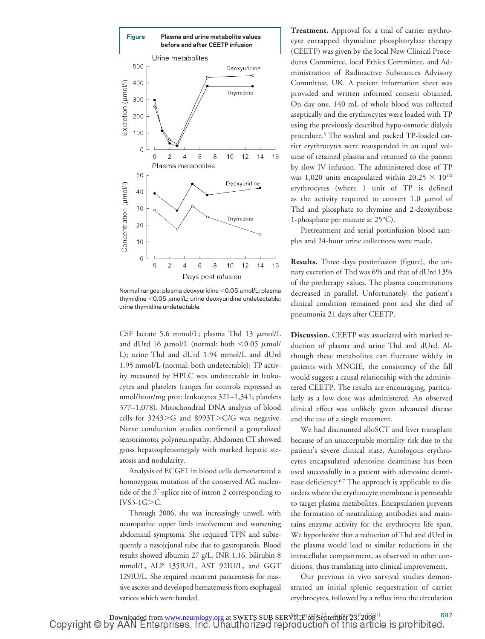

Normal ranges: plasma deoxyuridine < 0.05  $\mu$ mol/L; plasma thymidine < $0.05 \mu$ mol/L; urine deoxyuridine undetectable; urine thymidine undetectable.

CSF lactate 5.6 mmol/L; plasma Thd 13  $\mu$ mol/L and dUrd 16  $\mu$ mol/L (normal: both <0.05  $\mu$ mol/ L); urine Thd and dUrd 1.94 mmol/L and dUrd 1.95 mmol/L (normal: both undetectable); TP activity measured by HPLC was undetectable in leukocytes and platelets (ranges for controls expressed as nmol/hour/mg prot: leukocytes 321–1,341; platelets 377–1,078). Mitochondrial DNA analysis of blood cells for 3243>G and 8993T>C/G was negative. Nerve conduction studies confirmed a generalized sensorimotor polyneuropathy. Abdomen CT showed gross hepatosplenomegaly with marked hepatic steatosis and nodularity.

Analysis of ECGF1 in blood cells demonstrated a homozygous mutation of the conserved AG nucleotide of the  $3'$ -splice site of intron 2 corresponding to IVS3-1G>C.

Through 2006, she was increasingly unwell, with neuropathic upper limb involvement and worsening abdominal symptoms. She required TPN and subsequently a nasojejunal tube due to gastroparesis. Blood results showed albumin 27 g/L, INR 1.16, bilirubin 8 mmol/L, ALP 135IU/L, AST 92IU/L, and GGT 129IU/L. She required recurrent paracentesis for massive ascites and developed hematemesis from esophageal varices which were banded.

**Treatment.** Approval for a trial of carrier erythrocyte entrapped thymidine phosphorylase therapy (CEETP) was given by the local New Clinical Procedures Committee, local Ethics Committee, and Administration of Radioactive Substances Advisory Committee, UK. A patient information sheet was provided and written informed consent obtained. On day one, 140 mL of whole blood was collected aseptically and the erythrocytes were loaded with TP using the previously described hypo-osmotic dialysis procedure.5 The washed and packed TP-loaded carrier erythrocytes were resuspended in an equal volume of retained plasma and returned to the patient by slow IV infusion. The administered dose of TP was 1,020 units encapsulated within 20.25  $\times$  10<sup>10</sup> erythrocytes (where 1 unit of TP is defined as the activity required to convert 1.0  $\mu$ mol of Thd and phosphate to thymine and 2-deoxyribose 1-phosphate per minute at 25°C).

Pretreatment and serial postinfusion blood samples and 24-hour urine collections were made.

**Results.** Three days postinfusion (figure), the urinary excretion of Thd was 6% and that of dUrd 13% of the pretherapy values. The plasma concentrations decreased in parallel. Unfortunately, the patient's clinical condition remained poor and she died of pneumonia 21 days after CEETP.

**Discussion.** CEETP was associated with marked reduction of plasma and urine Thd and dUrd. Although these metabolites can fluctuate widely in patients with MNGIE, the consistency of the fall would suggest a causal relationship with the administered CEETP. The results are encouraging, particularly as a low dose was administered. An observed clinical effect was unlikely given advanced disease and the use of a single treatment.

We had discounted alloSCT and liver transplant because of an unacceptable mortality risk due to the patient's severe clinical state. Autologous erythrocytes encapsulated adenosine deaminase has been used successfully in a patient with adenosine deaminase deficiency.6,7 The approach is applicable to disorders where the erythrocyte membrane is permeable to target plasma metabolites. Encapsulation prevents the formation of neutralizing antibodies and maintains enzyme activity for the erythrocyte life span. We hypothesize that a reduction of Thd and dUrd in the plasma would lead to similar reductions in the intracellular compartment, as observed in other conditions, thus translating into clinical improvement.

Our previous in vivo survival studies demonstrated an initial splenic sequestration of carrier erythrocytes, followed by a reflux into the circulation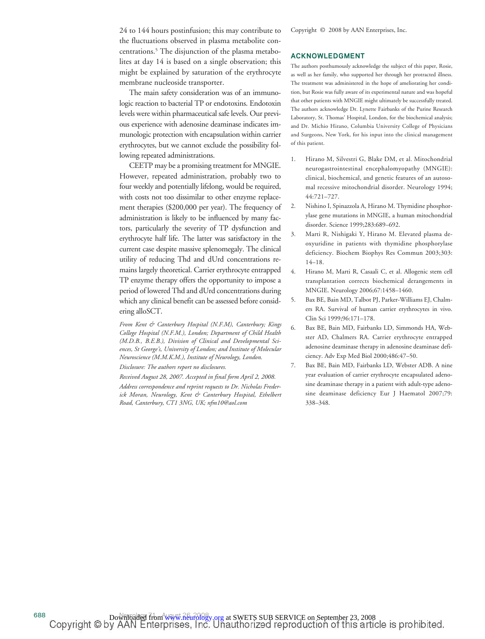24 to 144 hours postinfusion; this may contribute to the fluctuations observed in plasma metabolite concentrations.5 The disjunction of the plasma metabolites at day 14 is based on a single observation; this might be explained by saturation of the erythrocyte membrane nucleoside transporter.

The main safety consideration was of an immunologic reaction to bacterial TP or endotoxins. Endotoxin levels were within pharmaceutical safe levels. Our previous experience with adenosine deaminase indicates immunologic protection with encapsulation within carrier erythrocytes, but we cannot exclude the possibility following repeated administrations.

CEETP may be a promising treatment for MNGIE. However, repeated administration, probably two to four weekly and potentially lifelong, would be required, with costs not too dissimilar to other enzyme replacement therapies (\$200,000 per year). The frequency of administration is likely to be influenced by many factors, particularly the severity of TP dysfunction and erythrocyte half life. The latter was satisfactory in the current case despite massive splenomegaly. The clinical utility of reducing Thd and dUrd concentrations remains largely theoretical. Carrier erythrocyte entrapped TP enzyme therapy offers the opportunity to impose a period of lowered Thd and dUrd concentrations during which any clinical benefit can be assessed before considering alloSCT.

*From Kent & Canterbury Hospital (N.F.M), Canterbury; Kings College Hospital (N.F.M.), London; Department of Child Health (M.D.B., B.E.B.), Division of Clinical and Developmental Sciences, St George's, University of London; and Institute of Molecular Neuroscience (M.M.K.M.), Institute of Neurology, London.*

*Disclosure: The authors report no disclosures.*

*Received August 28, 2007. Accepted in final form April 2, 2008.*

*Address correspondence and reprint requests to Dr. Nicholas Frederick Moran, Neurology, Kent & Canterbury Hospital, Ethelbert Road, Canterbury, CT1 3NG, UK; nfm10@aol.com*

Copyright © 2008 by AAN Enterprises, Inc.

### **ACKNOWLEDGMENT**

The authors posthumously acknowledge the subject of this paper, Rosie, as well as her family, who supported her through her protracted illness. The treatment was administered in the hope of ameliorating her condition, but Rosie was fully aware of its experimental nature and was hopeful that other patients with MNGIE might ultimately be successfully treated. The authors acknowledge Dr. Lynette Fairbanks of the Purine Research Laboratory, St. Thomas' Hospital, London, for the biochemical analysis; and Dr. Michio Hirano, Columbia University College of Physicians and Surgeons, New York, for his input into the clinical management of this patient.

- 1. Hirano M, Silvestri G, Blake DM, et al. Mitochondrial neurogastrointestinal encephalomyopathy (MNGIE): clinical, biochemical, and genetic features of an autosomal recessive mitochondrial disorder. Neurology 1994; 44:721–727.
- 2. Nishino I, Spinazzola A, Hirano M. Thymidine phosphorylase gene mutations in MNGIE, a human mitochondrial disorder. Science 1999;283:689–692.
- 3. Marti R, Nishigaki Y, Hirano M. Elevated plasma deoxyuridine in patients with thymidine phosphorylase deficiency. Biochem Biophys Res Commun 2003;303: 14–18.
- 4. Hirano M, Marti R, Casaali C, et al. Allogenic stem cell transplantation corrects biochemical derangements in MNGIE. Neurology 2006;67:1458–1460.
- 5. Bax BE, Bain MD, Talbot PJ, Parker-Williams EJ, Chalmers RA. Survival of human carrier erythrocytes in vivo. Clin Sci 1999;96:171–178.
- 6. Bax BE, Bain MD, Fairbanks LD, Simmonds HA, Webster AD, Chalmers RA. Carrier erythrocyte entrapped adenosine deaminase therapy in adenosine deaminase deficiency. Adv Exp Med Biol 2000;486:47–50.
- 7. Bax BE, Bain MD, Fairbanks LD, Webster ADB. A nine year evaluation of carrier erythrocyte encapsulated adenosine deaminase therapy in a patient with adult-type adenosine deaminase deficiency Eur J Haematol 2007;79: 338–348.